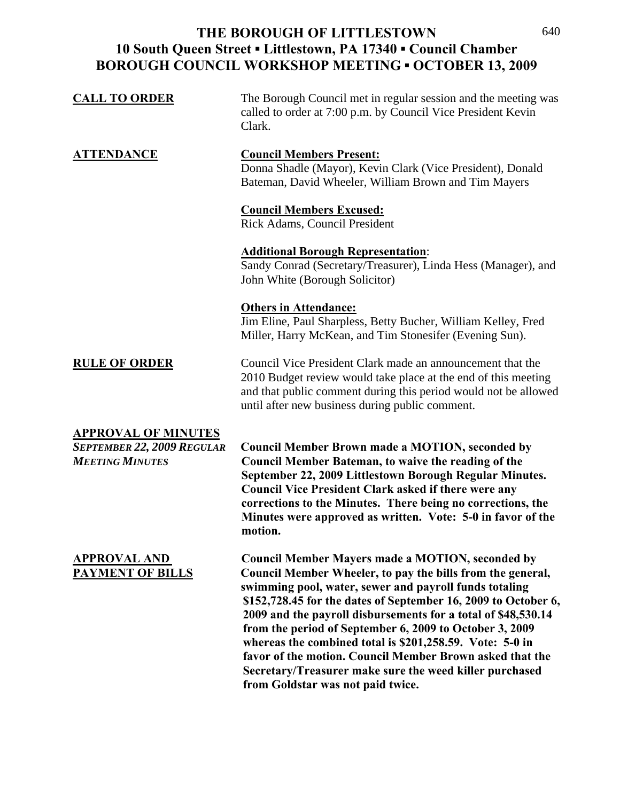## **THE BOROUGH OF LITTLESTOWN 10 South Queen Street ▪ Littlestown, PA 17340 ▪ Council Chamber BOROUGH COUNCIL WORKSHOP MEETING ▪ OCTOBER 13, 2009**

| <b>CALL TO ORDER</b>                                                                      | The Borough Council met in regular session and the meeting was<br>called to order at 7:00 p.m. by Council Vice President Kevin<br>Clark.                                                                                                                                                                                                                                                                                                  |
|-------------------------------------------------------------------------------------------|-------------------------------------------------------------------------------------------------------------------------------------------------------------------------------------------------------------------------------------------------------------------------------------------------------------------------------------------------------------------------------------------------------------------------------------------|
| <b>ATTENDANCE</b>                                                                         | <b>Council Members Present:</b><br>Donna Shadle (Mayor), Kevin Clark (Vice President), Donald<br>Bateman, David Wheeler, William Brown and Tim Mayers                                                                                                                                                                                                                                                                                     |
|                                                                                           | <b>Council Members Excused:</b><br>Rick Adams, Council President                                                                                                                                                                                                                                                                                                                                                                          |
|                                                                                           | <b>Additional Borough Representation:</b><br>Sandy Conrad (Secretary/Treasurer), Linda Hess (Manager), and<br>John White (Borough Solicitor)                                                                                                                                                                                                                                                                                              |
|                                                                                           | <b>Others in Attendance:</b><br>Jim Eline, Paul Sharpless, Betty Bucher, William Kelley, Fred<br>Miller, Harry McKean, and Tim Stonesifer (Evening Sun).                                                                                                                                                                                                                                                                                  |
| <b>RULE OF ORDER</b>                                                                      | Council Vice President Clark made an announcement that the<br>2010 Budget review would take place at the end of this meeting<br>and that public comment during this period would not be allowed<br>until after new business during public comment.                                                                                                                                                                                        |
| <b>APPROVAL OF MINUTES</b><br><b>SEPTEMBER 22, 2009 REGULAR</b><br><b>MEETING MINUTES</b> | <b>Council Member Brown made a MOTION, seconded by</b><br><b>Council Member Bateman, to waive the reading of the</b><br>September 22, 2009 Littlestown Borough Regular Minutes.<br><b>Council Vice President Clark asked if there were any</b><br>corrections to the Minutes. There being no corrections, the<br>Minutes were approved as written. Vote: 5-0 in favor of the<br>motion.                                                   |
| <b>APPROVAL AND</b><br><b>PAYMENT OF BILLS</b>                                            | <b>Council Member Mayers made a MOTION, seconded by</b><br>Council Member Wheeler, to pay the bills from the general,<br>swimming pool, water, sewer and payroll funds totaling<br>\$152,728.45 for the dates of September 16, 2009 to October 6,<br>2009 and the payroll disbursements for a total of \$48,530.14<br>from the period of September 6, 2009 to October 3, 2009<br>whereas the combined total is \$201,258.59. Vote: 5-0 in |

**favor of the motion. Council Member Brown asked that the Secretary/Treasurer make sure the weed killer purchased** 

**from Goldstar was not paid twice.**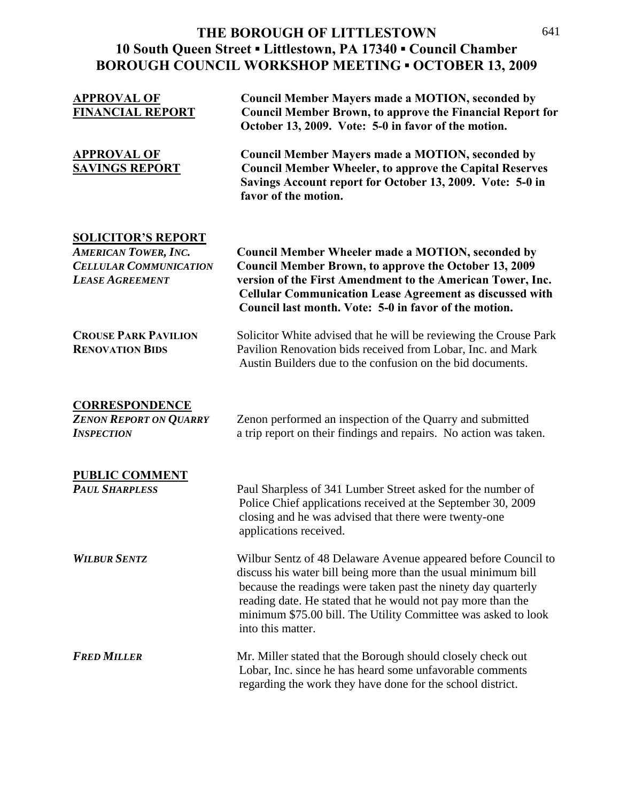## **THE BOROUGH OF LITTLESTOWN 10 South Queen Street ▪ Littlestown, PA 17340 ▪ Council Chamber BOROUGH COUNCIL WORKSHOP MEETING ▪ OCTOBER 13, 2009**

| <u>APPROVAL OF</u><br><b>FINANCIAL REPORT</b>                                                                       | <b>Council Member Mayers made a MOTION, seconded by</b><br><b>Council Member Brown, to approve the Financial Report for</b><br>October 13, 2009. Vote: 5-0 in favor of the motion.                                                                                                                                                                   |
|---------------------------------------------------------------------------------------------------------------------|------------------------------------------------------------------------------------------------------------------------------------------------------------------------------------------------------------------------------------------------------------------------------------------------------------------------------------------------------|
| <u>APPROVAL OF</u><br><b>SAVINGS REPORT</b>                                                                         | <b>Council Member Mayers made a MOTION, seconded by</b><br><b>Council Member Wheeler, to approve the Capital Reserves</b><br>Savings Account report for October 13, 2009. Vote: 5-0 in<br>favor of the motion.                                                                                                                                       |
| <b>SOLICITOR'S REPORT</b><br><b>AMERICAN TOWER, INC.</b><br><b>CELLULAR COMMUNICATION</b><br><b>LEASE AGREEMENT</b> | <b>Council Member Wheeler made a MOTION, seconded by</b><br><b>Council Member Brown, to approve the October 13, 2009</b><br>version of the First Amendment to the American Tower, Inc.<br><b>Cellular Communication Lease Agreement as discussed with</b><br>Council last month. Vote: 5-0 in favor of the motion.                                   |
| <b>CROUSE PARK PAVILION</b><br><b>RENOVATION BIDS</b>                                                               | Solicitor White advised that he will be reviewing the Crouse Park<br>Pavilion Renovation bids received from Lobar, Inc. and Mark<br>Austin Builders due to the confusion on the bid documents.                                                                                                                                                       |
| <b>CORRESPONDENCE</b><br><b>ZENON REPORT ON QUARRY</b><br><b>INSPECTION</b>                                         | Zenon performed an inspection of the Quarry and submitted<br>a trip report on their findings and repairs. No action was taken.                                                                                                                                                                                                                       |
| <b>PUBLIC COMMENT</b><br><b>PAUL SHARPLESS</b>                                                                      | Paul Sharpless of 341 Lumber Street asked for the number of<br>Police Chief applications received at the September 30, 2009<br>closing and he was advised that there were twenty-one<br>applications received.                                                                                                                                       |
| <b>WILBUR SENTZ</b>                                                                                                 | Wilbur Sentz of 48 Delaware Avenue appeared before Council to<br>discuss his water bill being more than the usual minimum bill<br>because the readings were taken past the ninety day quarterly<br>reading date. He stated that he would not pay more than the<br>minimum \$75.00 bill. The Utility Committee was asked to look<br>into this matter. |
| <b>FRED MILLER</b>                                                                                                  | Mr. Miller stated that the Borough should closely check out<br>Lobar, Inc. since he has heard some unfavorable comments<br>regarding the work they have done for the school district.                                                                                                                                                                |